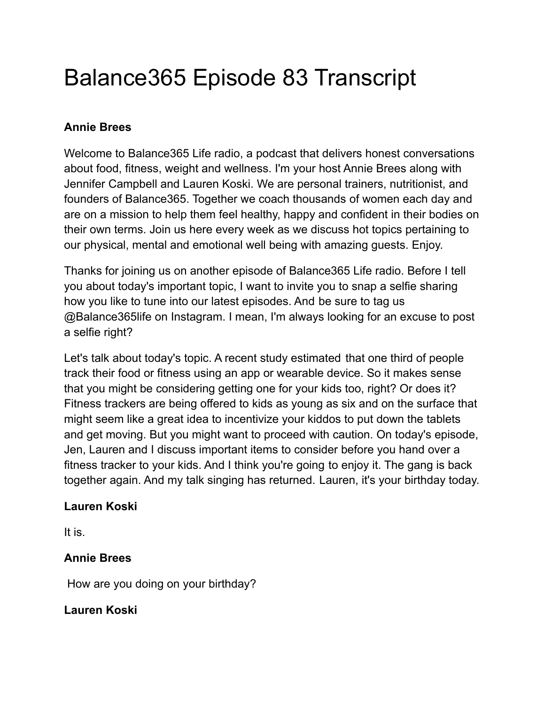# Balance365 Episode 83 Transcript

### **Annie Brees**

Welcome to Balance365 Life radio, a podcast that delivers honest conversations about food, fitness, weight and wellness. I'm your host Annie Brees along with Jennifer Campbell and Lauren Koski. We are personal trainers, nutritionist, and founders of Balance365. Together we coach thousands of women each day and are on a mission to help them feel healthy, happy and confident in their bodies on their own terms. Join us here every week as we discuss hot topics pertaining to our physical, mental and emotional well being with amazing guests. Enjoy.

Thanks for joining us on another episode of Balance365 Life radio. Before I tell you about today's important topic, I want to invite you to snap a selfie sharing how you like to tune into our latest episodes. And be sure to tag us @Balance365life on Instagram. I mean, I'm always looking for an excuse to post a selfie right?

Let's talk about today's topic. A recent study estimated that one third of people track their food or fitness using an app or wearable device. So it makes sense that you might be considering getting one for your kids too, right? Or does it? Fitness trackers are being offered to kids as young as six and on the surface that might seem like a great idea to incentivize your kiddos to put down the tablets and get moving. But you might want to proceed with caution. On today's episode, Jen, Lauren and I discuss important items to consider before you hand over a fitness tracker to your kids. And I think you're going to enjoy it. The gang is back together again. And my talk singing has returned. Lauren, it's your birthday today.

### **Lauren Koski**

It is.

### **Annie Brees**

How are you doing on your birthday?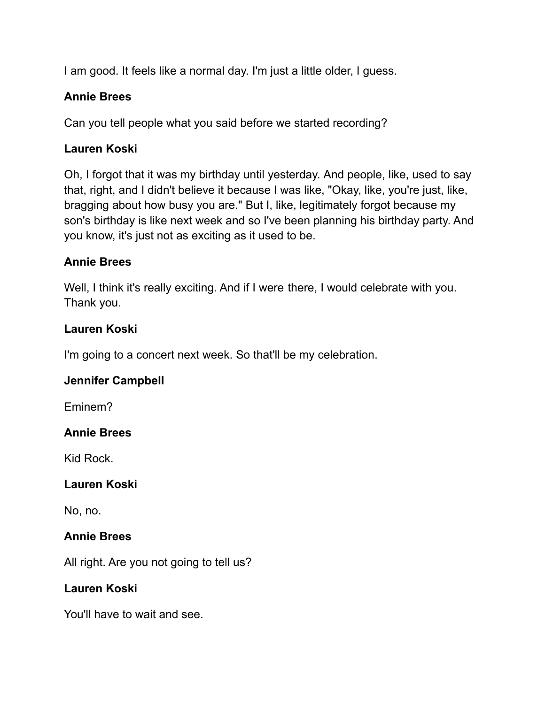I am good. It feels like a normal day. I'm just a little older, I guess.

### **Annie Brees**

Can you tell people what you said before we started recording?

### **Lauren Koski**

Oh, I forgot that it was my birthday until yesterday. And people, like, used to say that, right, and I didn't believe it because I was like, "Okay, like, you're just, like, bragging about how busy you are." But I, like, legitimately forgot because my son's birthday is like next week and so I've been planning his birthday party. And you know, it's just not as exciting as it used to be.

### **Annie Brees**

Well, I think it's really exciting. And if I were there, I would celebrate with you. Thank you.

### **Lauren Koski**

I'm going to a concert next week. So that'll be my celebration.

### **Jennifer Campbell**

Eminem?

### **Annie Brees**

Kid Rock.

### **Lauren Koski**

No, no.

### **Annie Brees**

All right. Are you not going to tell us?

### **Lauren Koski**

You'll have to wait and see.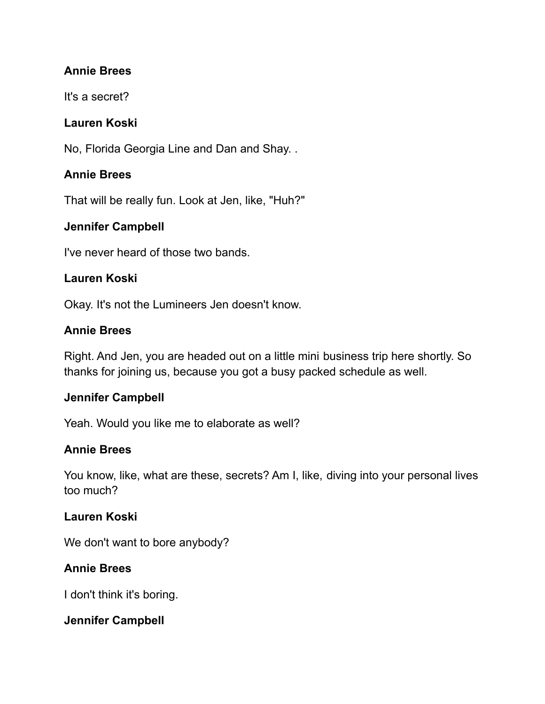### **Annie Brees**

It's a secret?

### **Lauren Koski**

No, Florida Georgia Line and Dan and Shay. .

### **Annie Brees**

That will be really fun. Look at Jen, like, "Huh?"

# **Jennifer Campbell**

I've never heard of those two bands.

### **Lauren Koski**

Okay. It's not the Lumineers Jen doesn't know.

### **Annie Brees**

Right. And Jen, you are headed out on a little mini business trip here shortly. So thanks for joining us, because you got a busy packed schedule as well.

### **Jennifer Campbell**

Yeah. Would you like me to elaborate as well?

# **Annie Brees**

You know, like, what are these, secrets? Am I, like, diving into your personal lives too much?

### **Lauren Koski**

We don't want to bore anybody?

# **Annie Brees**

I don't think it's boring.

### **Jennifer Campbell**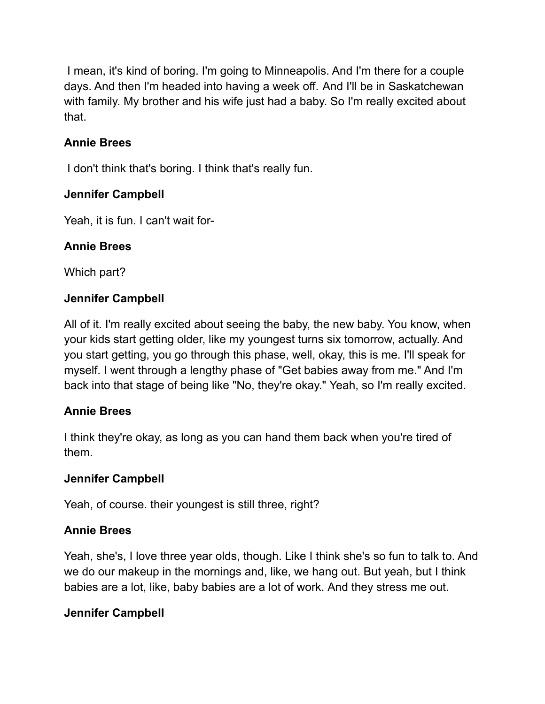I mean, it's kind of boring. I'm going to Minneapolis. And I'm there for a couple days. And then I'm headed into having a week off. And I'll be in Saskatchewan with family. My brother and his wife just had a baby. So I'm really excited about that.

# **Annie Brees**

I don't think that's boring. I think that's really fun.

# **Jennifer Campbell**

Yeah, it is fun. I can't wait for-

# **Annie Brees**

Which part?

# **Jennifer Campbell**

All of it. I'm really excited about seeing the baby, the new baby. You know, when your kids start getting older, like my youngest turns six tomorrow, actually. And you start getting, you go through this phase, well, okay, this is me. I'll speak for myself. I went through a lengthy phase of "Get babies away from me." And I'm back into that stage of being like "No, they're okay." Yeah, so I'm really excited.

# **Annie Brees**

I think they're okay, as long as you can hand them back when you're tired of them.

### **Jennifer Campbell**

Yeah, of course. their youngest is still three, right?

# **Annie Brees**

Yeah, she's, I love three year olds, though. Like I think she's so fun to talk to. And we do our makeup in the mornings and, like, we hang out. But yeah, but I think babies are a lot, like, baby babies are a lot of work. And they stress me out.

# **Jennifer Campbell**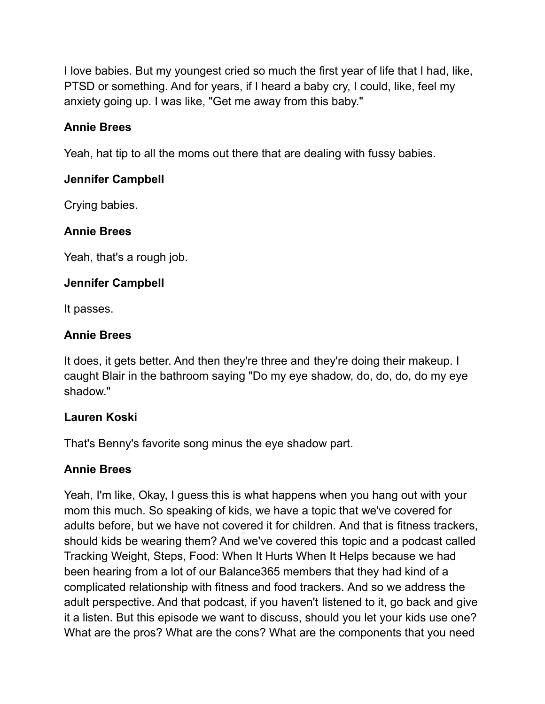I love babies. But my youngest cried so much the first year of life that I had, like, PTSD or something. And for years, if I heard a baby cry, I could, like, feel my anxiety going up. I was like, "Get me away from this baby."

### **Annie Brees**

Yeah, hat tip to all the moms out there that are dealing with fussy babies.

### **Jennifer Campbell**

Crying babies.

### **Annie Brees**

Yeah, that's a rough job.

### **Jennifer Campbell**

It passes.

### **Annie Brees**

It does, it gets better. And then they're three and they're doing their makeup. I caught Blair in the bathroom saying "Do my eye shadow, do, do, do, do my eye shadow."

### **Lauren Koski**

That's Benny's favorite song minus the eye shadow part.

### **Annie Brees**

Yeah, I'm like, Okay, I guess this is what happens when you hang out with your mom this much. So speaking of kids, we have a topic that we've covered for adults before, but we have not covered it for children. And that is fitness trackers, should kids be wearing them? And we've covered this topic and a podcast called Tracking Weight, Steps, Food: When It Hurts When It Helps because we had been hearing from a lot of our Balance365 members that they had kind of a complicated relationship with fitness and food trackers. And so we address the adult perspective. And that podcast, if you haven't listened to it, go back and give it a listen. But this episode we want to discuss, should you let your kids use one? What are the pros? What are the cons? What are the components that you need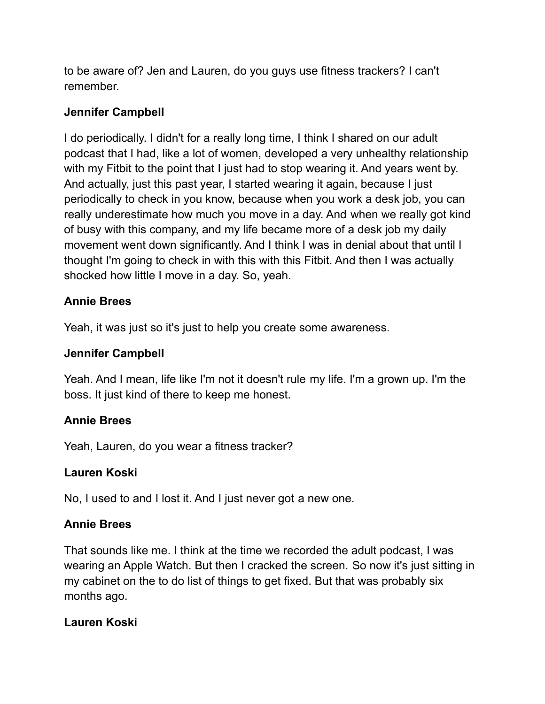to be aware of? Jen and Lauren, do you guys use fitness trackers? I can't remember.

### **Jennifer Campbell**

I do periodically. I didn't for a really long time, I think I shared on our adult podcast that I had, like a lot of women, developed a very unhealthy relationship with my Fitbit to the point that I just had to stop wearing it. And years went by. And actually, just this past year, I started wearing it again, because I just periodically to check in you know, because when you work a desk job, you can really underestimate how much you move in a day. And when we really got kind of busy with this company, and my life became more of a desk job my daily movement went down significantly. And I think I was in denial about that until I thought I'm going to check in with this with this Fitbit. And then I was actually shocked how little I move in a day. So, yeah.

### **Annie Brees**

Yeah, it was just so it's just to help you create some awareness.

### **Jennifer Campbell**

Yeah. And I mean, life like I'm not it doesn't rule my life. I'm a grown up. I'm the boss. It just kind of there to keep me honest.

### **Annie Brees**

Yeah, Lauren, do you wear a fitness tracker?

### **Lauren Koski**

No, I used to and I lost it. And I just never got a new one.

### **Annie Brees**

That sounds like me. I think at the time we recorded the adult podcast, I was wearing an Apple Watch. But then I cracked the screen. So now it's just sitting in my cabinet on the to do list of things to get fixed. But that was probably six months ago.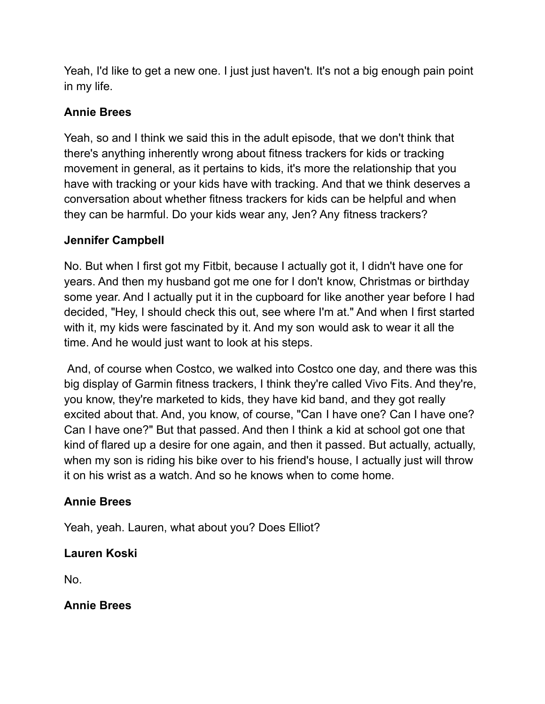Yeah, I'd like to get a new one. I just just haven't. It's not a big enough pain point in my life.

### **Annie Brees**

Yeah, so and I think we said this in the adult episode, that we don't think that there's anything inherently wrong about fitness trackers for kids or tracking movement in general, as it pertains to kids, it's more the relationship that you have with tracking or your kids have with tracking. And that we think deserves a conversation about whether fitness trackers for kids can be helpful and when they can be harmful. Do your kids wear any, Jen? Any fitness trackers?

### **Jennifer Campbell**

No. But when I first got my Fitbit, because I actually got it, I didn't have one for years. And then my husband got me one for I don't know, Christmas or birthday some year. And I actually put it in the cupboard for like another year before I had decided, "Hey, I should check this out, see where I'm at." And when I first started with it, my kids were fascinated by it. And my son would ask to wear it all the time. And he would just want to look at his steps.

And, of course when Costco, we walked into Costco one day, and there was this big display of Garmin fitness trackers, I think they're called Vivo Fits. And they're, you know, they're marketed to kids, they have kid band, and they got really excited about that. And, you know, of course, "Can I have one? Can I have one? Can I have one?" But that passed. And then I think a kid at school got one that kind of flared up a desire for one again, and then it passed. But actually, actually, when my son is riding his bike over to his friend's house, I actually just will throw it on his wrist as a watch. And so he knows when to come home.

### **Annie Brees**

Yeah, yeah. Lauren, what about you? Does Elliot?

### **Lauren Koski**

No.

**Annie Brees**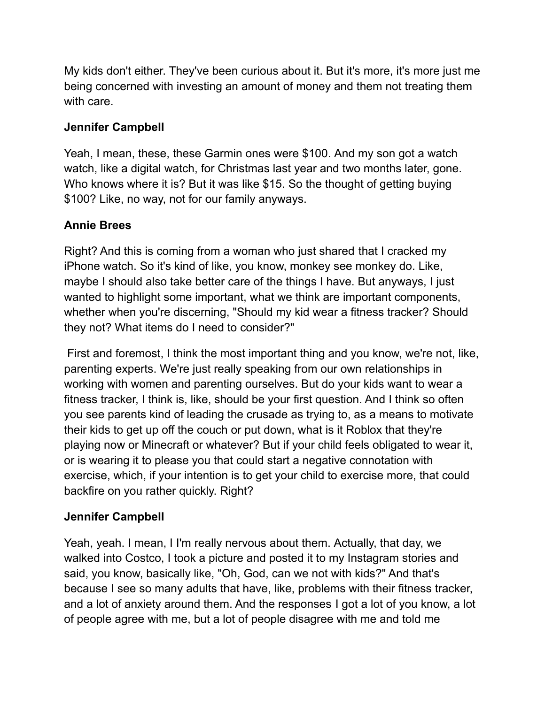My kids don't either. They've been curious about it. But it's more, it's more just me being concerned with investing an amount of money and them not treating them with care.

### **Jennifer Campbell**

Yeah, I mean, these, these Garmin ones were \$100. And my son got a watch watch, like a digital watch, for Christmas last year and two months later, gone. Who knows where it is? But it was like \$15. So the thought of getting buying \$100? Like, no way, not for our family anyways.

### **Annie Brees**

Right? And this is coming from a woman who just shared that I cracked my iPhone watch. So it's kind of like, you know, monkey see monkey do. Like, maybe I should also take better care of the things I have. But anyways, I just wanted to highlight some important, what we think are important components, whether when you're discerning, "Should my kid wear a fitness tracker? Should they not? What items do I need to consider?"

First and foremost, I think the most important thing and you know, we're not, like, parenting experts. We're just really speaking from our own relationships in working with women and parenting ourselves. But do your kids want to wear a fitness tracker, I think is, like, should be your first question. And I think so often you see parents kind of leading the crusade as trying to, as a means to motivate their kids to get up off the couch or put down, what is it Roblox that they're playing now or Minecraft or whatever? But if your child feels obligated to wear it, or is wearing it to please you that could start a negative connotation with exercise, which, if your intention is to get your child to exercise more, that could backfire on you rather quickly. Right?

### **Jennifer Campbell**

Yeah, yeah. I mean, I I'm really nervous about them. Actually, that day, we walked into Costco, I took a picture and posted it to my Instagram stories and said, you know, basically like, "Oh, God, can we not with kids?" And that's because I see so many adults that have, like, problems with their fitness tracker, and a lot of anxiety around them. And the responses I got a lot of you know, a lot of people agree with me, but a lot of people disagree with me and told me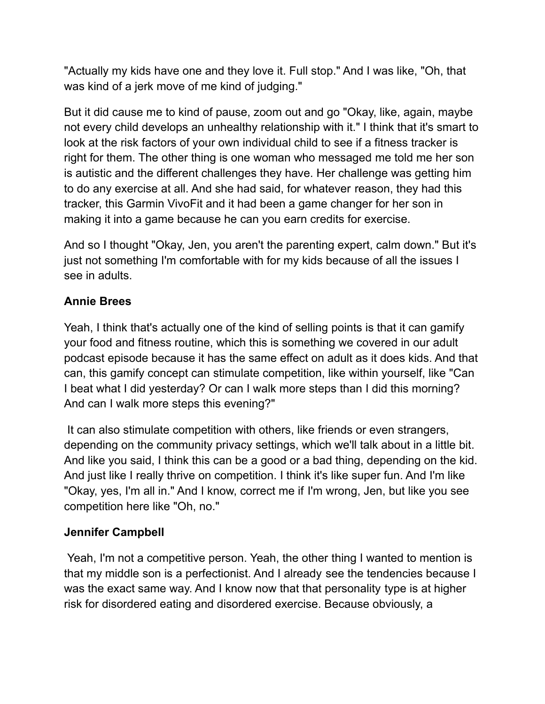"Actually my kids have one and they love it. Full stop." And I was like, "Oh, that was kind of a jerk move of me kind of judging."

But it did cause me to kind of pause, zoom out and go "Okay, like, again, maybe not every child develops an unhealthy relationship with it." I think that it's smart to look at the risk factors of your own individual child to see if a fitness tracker is right for them. The other thing is one woman who messaged me told me her son is autistic and the different challenges they have. Her challenge was getting him to do any exercise at all. And she had said, for whatever reason, they had this tracker, this Garmin VivoFit and it had been a game changer for her son in making it into a game because he can you earn credits for exercise.

And so I thought "Okay, Jen, you aren't the parenting expert, calm down." But it's just not something I'm comfortable with for my kids because of all the issues I see in adults.

### **Annie Brees**

Yeah, I think that's actually one of the kind of selling points is that it can gamify your food and fitness routine, which this is something we covered in our adult podcast episode because it has the same effect on adult as it does kids. And that can, this gamify concept can stimulate competition, like within yourself, like "Can I beat what I did yesterday? Or can I walk more steps than I did this morning? And can I walk more steps this evening?"

It can also stimulate competition with others, like friends or even strangers, depending on the community privacy settings, which we'll talk about in a little bit. And like you said, I think this can be a good or a bad thing, depending on the kid. And just like I really thrive on competition. I think it's like super fun. And I'm like "Okay, yes, I'm all in." And I know, correct me if I'm wrong, Jen, but like you see competition here like "Oh, no."

### **Jennifer Campbell**

Yeah, I'm not a competitive person. Yeah, the other thing I wanted to mention is that my middle son is a perfectionist. And I already see the tendencies because I was the exact same way. And I know now that that personality type is at higher risk for disordered eating and disordered exercise. Because obviously, a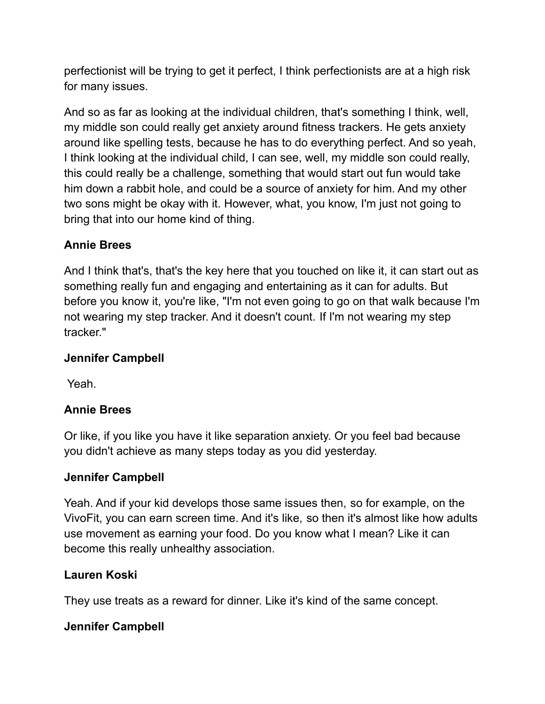perfectionist will be trying to get it perfect, I think perfectionists are at a high risk for many issues.

And so as far as looking at the individual children, that's something I think, well, my middle son could really get anxiety around fitness trackers. He gets anxiety around like spelling tests, because he has to do everything perfect. And so yeah, I think looking at the individual child, I can see, well, my middle son could really, this could really be a challenge, something that would start out fun would take him down a rabbit hole, and could be a source of anxiety for him. And my other two sons might be okay with it. However, what, you know, I'm just not going to bring that into our home kind of thing.

### **Annie Brees**

And I think that's, that's the key here that you touched on like it, it can start out as something really fun and engaging and entertaining as it can for adults. But before you know it, you're like, "I'm not even going to go on that walk because I'm not wearing my step tracker. And it doesn't count. If I'm not wearing my step tracker."

### **Jennifer Campbell**

Yeah.

# **Annie Brees**

Or like, if you like you have it like separation anxiety. Or you feel bad because you didn't achieve as many steps today as you did yesterday.

### **Jennifer Campbell**

Yeah. And if your kid develops those same issues then, so for example, on the VivoFit, you can earn screen time. And it's like, so then it's almost like how adults use movement as earning your food. Do you know what I mean? Like it can become this really unhealthy association.

### **Lauren Koski**

They use treats as a reward for dinner. Like it's kind of the same concept.

### **Jennifer Campbell**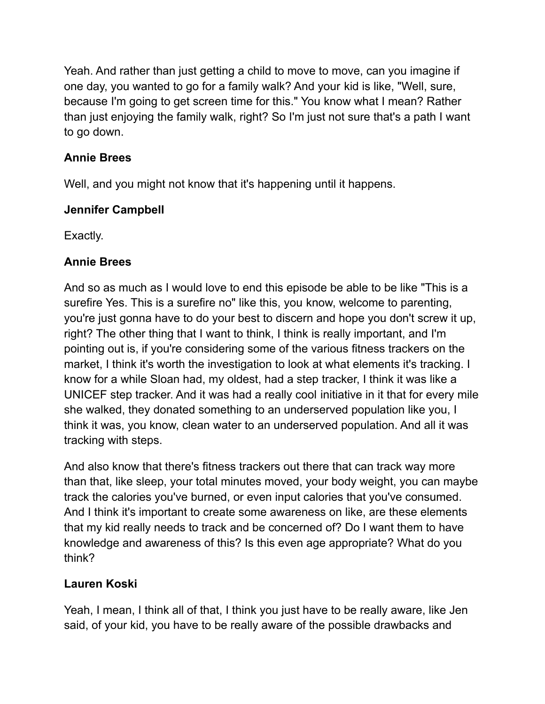Yeah. And rather than just getting a child to move to move, can you imagine if one day, you wanted to go for a family walk? And your kid is like, "Well, sure, because I'm going to get screen time for this." You know what I mean? Rather than just enjoying the family walk, right? So I'm just not sure that's a path I want to go down.

# **Annie Brees**

Well, and you might not know that it's happening until it happens.

# **Jennifer Campbell**

Exactly.

# **Annie Brees**

And so as much as I would love to end this episode be able to be like "This is a surefire Yes. This is a surefire no" like this, you know, welcome to parenting, you're just gonna have to do your best to discern and hope you don't screw it up, right? The other thing that I want to think, I think is really important, and I'm pointing out is, if you're considering some of the various fitness trackers on the market, I think it's worth the investigation to look at what elements it's tracking. I know for a while Sloan had, my oldest, had a step tracker, I think it was like a UNICEF step tracker. And it was had a really cool initiative in it that for every mile she walked, they donated something to an underserved population like you, I think it was, you know, clean water to an underserved population. And all it was tracking with steps.

And also know that there's fitness trackers out there that can track way more than that, like sleep, your total minutes moved, your body weight, you can maybe track the calories you've burned, or even input calories that you've consumed. And I think it's important to create some awareness on like, are these elements that my kid really needs to track and be concerned of? Do I want them to have knowledge and awareness of this? Is this even age appropriate? What do you think?

# **Lauren Koski**

Yeah, I mean, I think all of that, I think you just have to be really aware, like Jen said, of your kid, you have to be really aware of the possible drawbacks and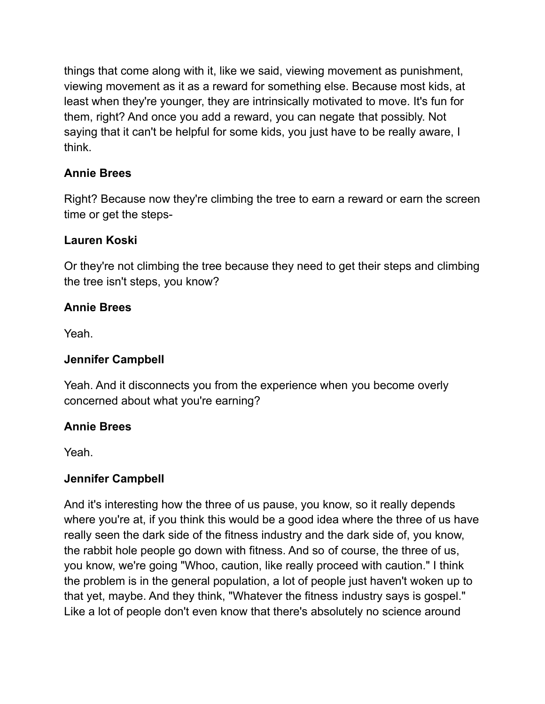things that come along with it, like we said, viewing movement as punishment, viewing movement as it as a reward for something else. Because most kids, at least when they're younger, they are intrinsically motivated to move. It's fun for them, right? And once you add a reward, you can negate that possibly. Not saying that it can't be helpful for some kids, you just have to be really aware, I think.

# **Annie Brees**

Right? Because now they're climbing the tree to earn a reward or earn the screen time or get the steps-

### **Lauren Koski**

Or they're not climbing the tree because they need to get their steps and climbing the tree isn't steps, you know?

# **Annie Brees**

Yeah.

# **Jennifer Campbell**

Yeah. And it disconnects you from the experience when you become overly concerned about what you're earning?

### **Annie Brees**

Yeah.

### **Jennifer Campbell**

And it's interesting how the three of us pause, you know, so it really depends where you're at, if you think this would be a good idea where the three of us have really seen the dark side of the fitness industry and the dark side of, you know, the rabbit hole people go down with fitness. And so of course, the three of us, you know, we're going "Whoo, caution, like really proceed with caution." I think the problem is in the general population, a lot of people just haven't woken up to that yet, maybe. And they think, "Whatever the fitness industry says is gospel." Like a lot of people don't even know that there's absolutely no science around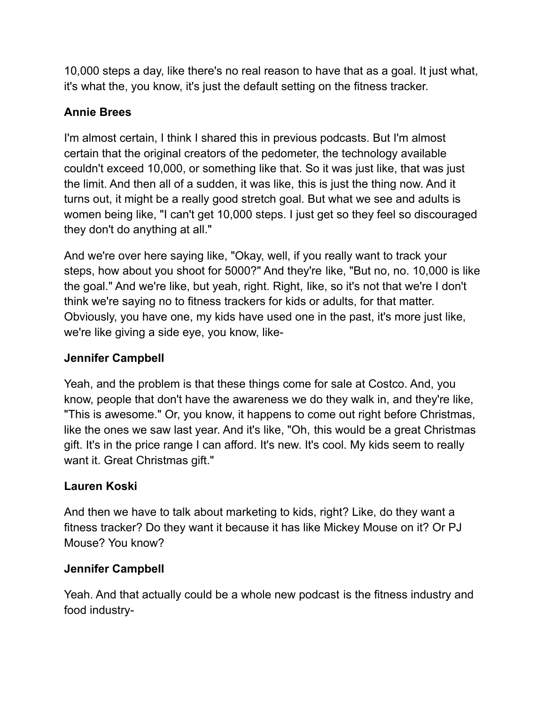10,000 steps a day, like there's no real reason to have that as a goal. It just what, it's what the, you know, it's just the default setting on the fitness tracker.

# **Annie Brees**

I'm almost certain, I think I shared this in previous podcasts. But I'm almost certain that the original creators of the pedometer, the technology available couldn't exceed 10,000, or something like that. So it was just like, that was just the limit. And then all of a sudden, it was like, this is just the thing now. And it turns out, it might be a really good stretch goal. But what we see and adults is women being like, "I can't get 10,000 steps. I just get so they feel so discouraged they don't do anything at all."

And we're over here saying like, "Okay, well, if you really want to track your steps, how about you shoot for 5000?" And they're like, "But no, no. 10,000 is like the goal." And we're like, but yeah, right. Right, like, so it's not that we're I don't think we're saying no to fitness trackers for kids or adults, for that matter. Obviously, you have one, my kids have used one in the past, it's more just like, we're like giving a side eye, you know, like-

# **Jennifer Campbell**

Yeah, and the problem is that these things come for sale at Costco. And, you know, people that don't have the awareness we do they walk in, and they're like, "This is awesome." Or, you know, it happens to come out right before Christmas, like the ones we saw last year. And it's like, "Oh, this would be a great Christmas gift. It's in the price range I can afford. It's new. It's cool. My kids seem to really want it. Great Christmas gift."

# **Lauren Koski**

And then we have to talk about marketing to kids, right? Like, do they want a fitness tracker? Do they want it because it has like Mickey Mouse on it? Or PJ Mouse? You know?

### **Jennifer Campbell**

Yeah. And that actually could be a whole new podcast is the fitness industry and food industry-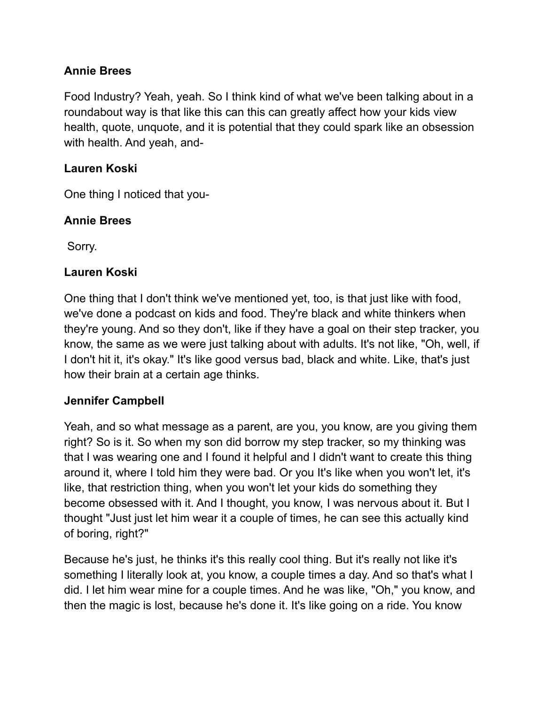### **Annie Brees**

Food Industry? Yeah, yeah. So I think kind of what we've been talking about in a roundabout way is that like this can this can greatly affect how your kids view health, quote, unquote, and it is potential that they could spark like an obsession with health. And yeah, and-

### **Lauren Koski**

One thing I noticed that you-

### **Annie Brees**

Sorry.

### **Lauren Koski**

One thing that I don't think we've mentioned yet, too, is that just like with food, we've done a podcast on kids and food. They're black and white thinkers when they're young. And so they don't, like if they have a goal on their step tracker, you know, the same as we were just talking about with adults. It's not like, "Oh, well, if I don't hit it, it's okay." It's like good versus bad, black and white. Like, that's just how their brain at a certain age thinks.

### **Jennifer Campbell**

Yeah, and so what message as a parent, are you, you know, are you giving them right? So is it. So when my son did borrow my step tracker, so my thinking was that I was wearing one and I found it helpful and I didn't want to create this thing around it, where I told him they were bad. Or you It's like when you won't let, it's like, that restriction thing, when you won't let your kids do something they become obsessed with it. And I thought, you know, I was nervous about it. But I thought "Just just let him wear it a couple of times, he can see this actually kind of boring, right?"

Because he's just, he thinks it's this really cool thing. But it's really not like it's something I literally look at, you know, a couple times a day. And so that's what I did. I let him wear mine for a couple times. And he was like, "Oh," you know, and then the magic is lost, because he's done it. It's like going on a ride. You know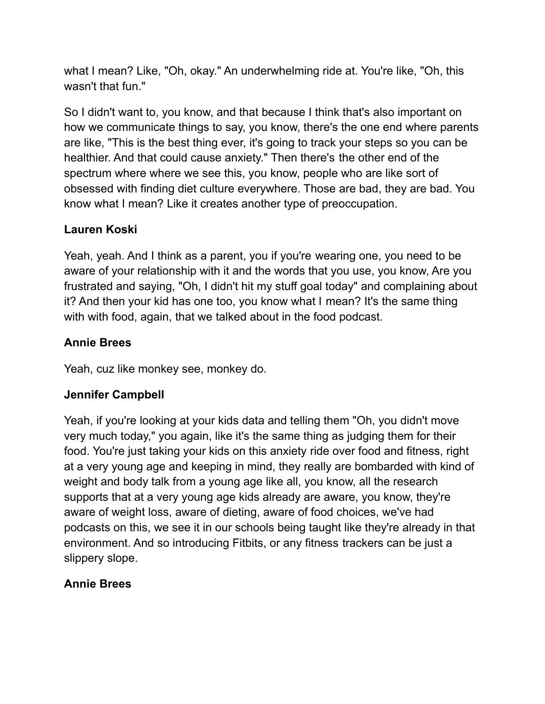what I mean? Like, "Oh, okay." An underwhelming ride at. You're like, "Oh, this wasn't that fun."

So I didn't want to, you know, and that because I think that's also important on how we communicate things to say, you know, there's the one end where parents are like, "This is the best thing ever, it's going to track your steps so you can be healthier. And that could cause anxiety." Then there's the other end of the spectrum where where we see this, you know, people who are like sort of obsessed with finding diet culture everywhere. Those are bad, they are bad. You know what I mean? Like it creates another type of preoccupation.

# **Lauren Koski**

Yeah, yeah. And I think as a parent, you if you're wearing one, you need to be aware of your relationship with it and the words that you use, you know, Are you frustrated and saying, "Oh, I didn't hit my stuff goal today" and complaining about it? And then your kid has one too, you know what I mean? It's the same thing with with food, again, that we talked about in the food podcast.

### **Annie Brees**

Yeah, cuz like monkey see, monkey do.

### **Jennifer Campbell**

Yeah, if you're looking at your kids data and telling them "Oh, you didn't move very much today," you again, like it's the same thing as judging them for their food. You're just taking your kids on this anxiety ride over food and fitness, right at a very young age and keeping in mind, they really are bombarded with kind of weight and body talk from a young age like all, you know, all the research supports that at a very young age kids already are aware, you know, they're aware of weight loss, aware of dieting, aware of food choices, we've had podcasts on this, we see it in our schools being taught like they're already in that environment. And so introducing Fitbits, or any fitness trackers can be just a slippery slope.

### **Annie Brees**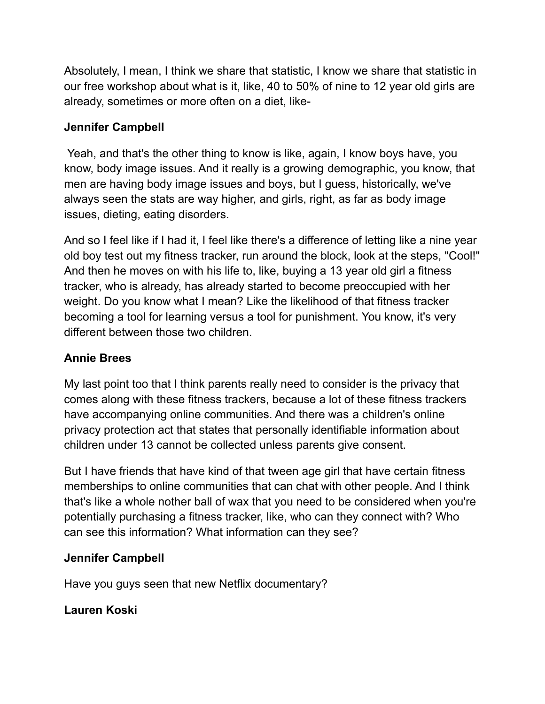Absolutely, I mean, I think we share that statistic, I know we share that statistic in our free workshop about what is it, like, 40 to 50% of nine to 12 year old girls are already, sometimes or more often on a diet, like-

### **Jennifer Campbell**

Yeah, and that's the other thing to know is like, again, I know boys have, you know, body image issues. And it really is a growing demographic, you know, that men are having body image issues and boys, but I guess, historically, we've always seen the stats are way higher, and girls, right, as far as body image issues, dieting, eating disorders.

And so I feel like if I had it, I feel like there's a difference of letting like a nine year old boy test out my fitness tracker, run around the block, look at the steps, "Cool!" And then he moves on with his life to, like, buying a 13 year old girl a fitness tracker, who is already, has already started to become preoccupied with her weight. Do you know what I mean? Like the likelihood of that fitness tracker becoming a tool for learning versus a tool for punishment. You know, it's very different between those two children.

# **Annie Brees**

My last point too that I think parents really need to consider is the privacy that comes along with these fitness trackers, because a lot of these fitness trackers have accompanying online communities. And there was a children's online privacy protection act that states that personally identifiable information about children under 13 cannot be collected unless parents give consent.

But I have friends that have kind of that tween age girl that have certain fitness memberships to online communities that can chat with other people. And I think that's like a whole nother ball of wax that you need to be considered when you're potentially purchasing a fitness tracker, like, who can they connect with? Who can see this information? What information can they see?

# **Jennifer Campbell**

Have you guys seen that new Netflix documentary?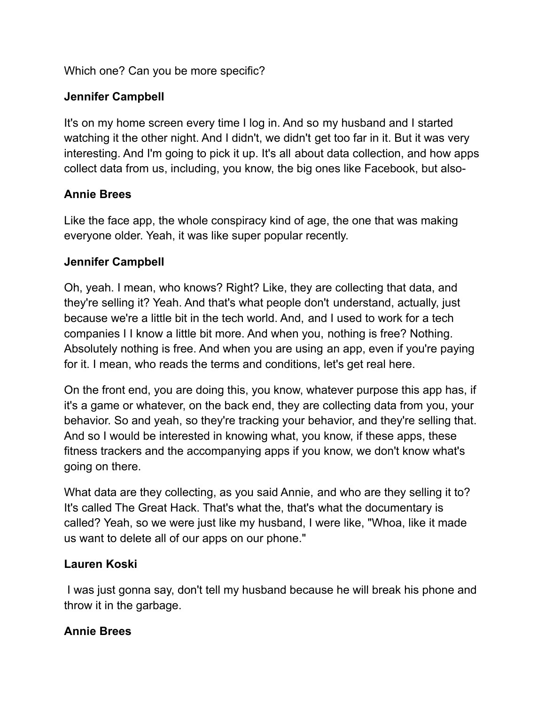Which one? Can you be more specific?

# **Jennifer Campbell**

It's on my home screen every time I log in. And so my husband and I started watching it the other night. And I didn't, we didn't get too far in it. But it was very interesting. And I'm going to pick it up. It's all about data collection, and how apps collect data from us, including, you know, the big ones like Facebook, but also-

### **Annie Brees**

Like the face app, the whole conspiracy kind of age, the one that was making everyone older. Yeah, it was like super popular recently.

### **Jennifer Campbell**

Oh, yeah. I mean, who knows? Right? Like, they are collecting that data, and they're selling it? Yeah. And that's what people don't understand, actually, just because we're a little bit in the tech world. And, and I used to work for a tech companies I I know a little bit more. And when you, nothing is free? Nothing. Absolutely nothing is free. And when you are using an app, even if you're paying for it. I mean, who reads the terms and conditions, let's get real here.

On the front end, you are doing this, you know, whatever purpose this app has, if it's a game or whatever, on the back end, they are collecting data from you, your behavior. So and yeah, so they're tracking your behavior, and they're selling that. And so I would be interested in knowing what, you know, if these apps, these fitness trackers and the accompanying apps if you know, we don't know what's going on there.

What data are they collecting, as you said Annie, and who are they selling it to? It's called The Great Hack. That's what the, that's what the documentary is called? Yeah, so we were just like my husband, I were like, "Whoa, like it made us want to delete all of our apps on our phone."

### **Lauren Koski**

I was just gonna say, don't tell my husband because he will break his phone and throw it in the garbage.

### **Annie Brees**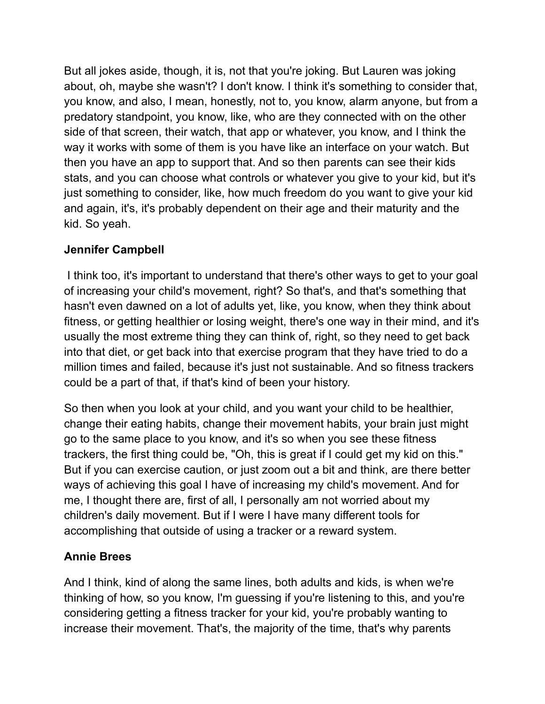But all jokes aside, though, it is, not that you're joking. But Lauren was joking about, oh, maybe she wasn't? I don't know. I think it's something to consider that, you know, and also, I mean, honestly, not to, you know, alarm anyone, but from a predatory standpoint, you know, like, who are they connected with on the other side of that screen, their watch, that app or whatever, you know, and I think the way it works with some of them is you have like an interface on your watch. But then you have an app to support that. And so then parents can see their kids stats, and you can choose what controls or whatever you give to your kid, but it's just something to consider, like, how much freedom do you want to give your kid and again, it's, it's probably dependent on their age and their maturity and the kid. So yeah.

### **Jennifer Campbell**

I think too, it's important to understand that there's other ways to get to your goal of increasing your child's movement, right? So that's, and that's something that hasn't even dawned on a lot of adults yet, like, you know, when they think about fitness, or getting healthier or losing weight, there's one way in their mind, and it's usually the most extreme thing they can think of, right, so they need to get back into that diet, or get back into that exercise program that they have tried to do a million times and failed, because it's just not sustainable. And so fitness trackers could be a part of that, if that's kind of been your history.

So then when you look at your child, and you want your child to be healthier, change their eating habits, change their movement habits, your brain just might go to the same place to you know, and it's so when you see these fitness trackers, the first thing could be, "Oh, this is great if I could get my kid on this." But if you can exercise caution, or just zoom out a bit and think, are there better ways of achieving this goal I have of increasing my child's movement. And for me, I thought there are, first of all, I personally am not worried about my children's daily movement. But if I were I have many different tools for accomplishing that outside of using a tracker or a reward system.

# **Annie Brees**

And I think, kind of along the same lines, both adults and kids, is when we're thinking of how, so you know, I'm guessing if you're listening to this, and you're considering getting a fitness tracker for your kid, you're probably wanting to increase their movement. That's, the majority of the time, that's why parents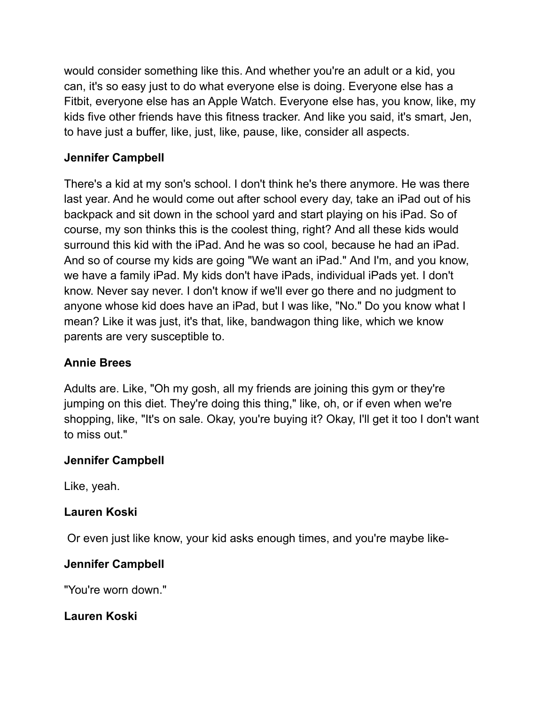would consider something like this. And whether you're an adult or a kid, you can, it's so easy just to do what everyone else is doing. Everyone else has a Fitbit, everyone else has an Apple Watch. Everyone else has, you know, like, my kids five other friends have this fitness tracker. And like you said, it's smart, Jen, to have just a buffer, like, just, like, pause, like, consider all aspects.

# **Jennifer Campbell**

There's a kid at my son's school. I don't think he's there anymore. He was there last year. And he would come out after school every day, take an iPad out of his backpack and sit down in the school yard and start playing on his iPad. So of course, my son thinks this is the coolest thing, right? And all these kids would surround this kid with the iPad. And he was so cool, because he had an iPad. And so of course my kids are going "We want an iPad." And I'm, and you know, we have a family iPad. My kids don't have iPads, individual iPads yet. I don't know. Never say never. I don't know if we'll ever go there and no judgment to anyone whose kid does have an iPad, but I was like, "No." Do you know what I mean? Like it was just, it's that, like, bandwagon thing like, which we know parents are very susceptible to.

### **Annie Brees**

Adults are. Like, "Oh my gosh, all my friends are joining this gym or they're jumping on this diet. They're doing this thing," like, oh, or if even when we're shopping, like, "It's on sale. Okay, you're buying it? Okay, I'll get it too I don't want to miss out."

### **Jennifer Campbell**

Like, yeah.

### **Lauren Koski**

Or even just like know, your kid asks enough times, and you're maybe like-

### **Jennifer Campbell**

"You're worn down."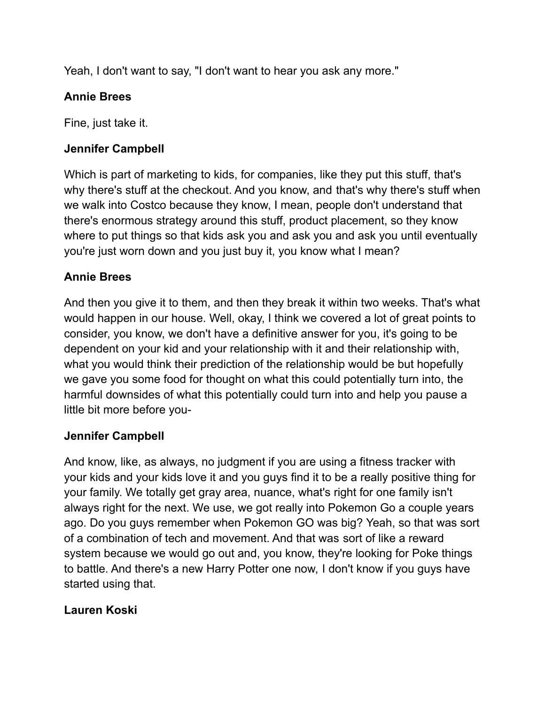Yeah, I don't want to say, "I don't want to hear you ask any more."

# **Annie Brees**

Fine, just take it.

### **Jennifer Campbell**

Which is part of marketing to kids, for companies, like they put this stuff, that's why there's stuff at the checkout. And you know, and that's why there's stuff when we walk into Costco because they know, I mean, people don't understand that there's enormous strategy around this stuff, product placement, so they know where to put things so that kids ask you and ask you and ask you until eventually you're just worn down and you just buy it, you know what I mean?

### **Annie Brees**

And then you give it to them, and then they break it within two weeks. That's what would happen in our house. Well, okay, I think we covered a lot of great points to consider, you know, we don't have a definitive answer for you, it's going to be dependent on your kid and your relationship with it and their relationship with, what you would think their prediction of the relationship would be but hopefully we gave you some food for thought on what this could potentially turn into, the harmful downsides of what this potentially could turn into and help you pause a little bit more before you-

### **Jennifer Campbell**

And know, like, as always, no judgment if you are using a fitness tracker with your kids and your kids love it and you guys find it to be a really positive thing for your family. We totally get gray area, nuance, what's right for one family isn't always right for the next. We use, we got really into Pokemon Go a couple years ago. Do you guys remember when Pokemon GO was big? Yeah, so that was sort of a combination of tech and movement. And that was sort of like a reward system because we would go out and, you know, they're looking for Poke things to battle. And there's a new Harry Potter one now, I don't know if you guys have started using that.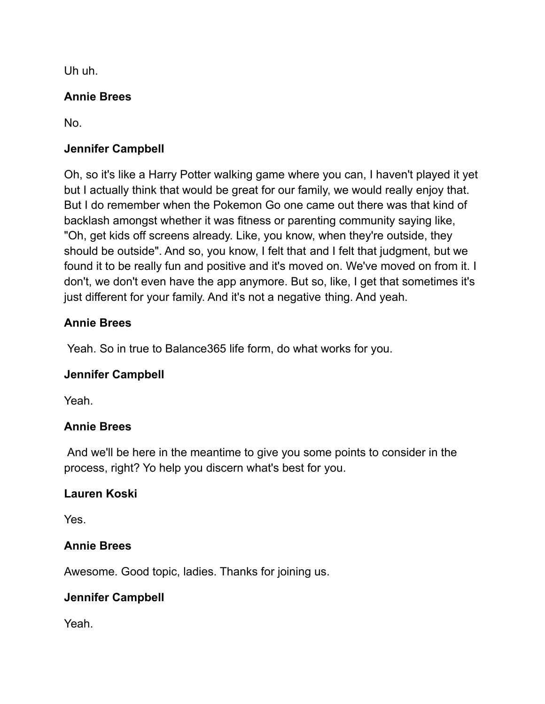Uh uh.

# **Annie Brees**

No.

# **Jennifer Campbell**

Oh, so it's like a Harry Potter walking game where you can, I haven't played it yet but I actually think that would be great for our family, we would really enjoy that. But I do remember when the Pokemon Go one came out there was that kind of backlash amongst whether it was fitness or parenting community saying like, "Oh, get kids off screens already. Like, you know, when they're outside, they should be outside". And so, you know, I felt that and I felt that judgment, but we found it to be really fun and positive and it's moved on. We've moved on from it. I don't, we don't even have the app anymore. But so, like, I get that sometimes it's just different for your family. And it's not a negative thing. And yeah.

# **Annie Brees**

Yeah. So in true to Balance365 life form, do what works for you.

### **Jennifer Campbell**

Yeah.

### **Annie Brees**

And we'll be here in the meantime to give you some points to consider in the process, right? Yo help you discern what's best for you.

### **Lauren Koski**

Yes.

### **Annie Brees**

Awesome. Good topic, ladies. Thanks for joining us.

### **Jennifer Campbell**

Yeah.